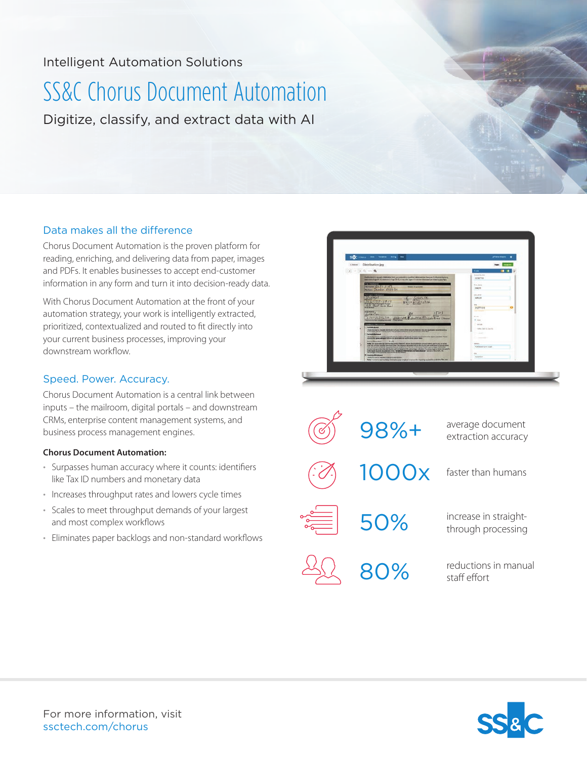# Intelligent Automation Solutions

# SS&C Chorus Document Automation

Digitize, classify, and extract data with AI

## Data makes all the difference

Chorus Document Automation is the proven platform for reading, enriching, and delivering data from paper, images and PDFs. It enables businesses to accept end-customer information in any form and turn it into decision-ready data.

With Chorus Document Automation at the front of your automation strategy, your work is intelligently extracted, prioritized, contextualized and routed to fit directly into your current business processes, improving your downstream workflow.

# Speed. Power. Accuracy.

Chorus Document Automation is a central link between inputs – the mailroom, digital portals – and downstream CRMs, enterprise content management systems, and business process management engines.

### **Chorus Document Automation:**

- Surpasses human accuracy where it counts: identifiers like Tax ID numbers and monetary data
- Increases throughput rates and lowers cycle times
- Scales to meet throughput demands of your largest and most complex workflows
- Eliminates paper backlogs and non-standard workflows



98%+ average document extraction accuracy 80% reductions in manual staff effort 50% increase in straightthrough processing 1000x faster than humans